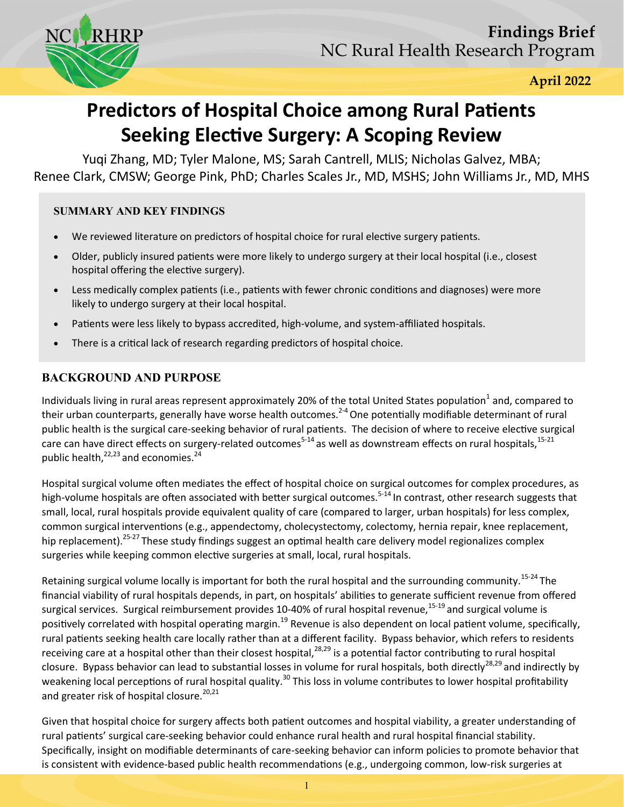

 **April 2022**

# **Predictors of Hospital Choice among Rural Patients Seeking Elective Surgery: A Scoping Review**

Yuqi Zhang, MD; Tyler Malone, MS; Sarah Cantrell, MLIS; Nicholas Galvez, MBA; Renee Clark, CMSW; George Pink, PhD; Charles Scales Jr., MD, MSHS; John Williams Jr., MD, MHS

#### **SUMMARY AND KEY FINDINGS**

- We reviewed literature on predictors of hospital choice for rural elective surgery patients.
- Older, publicly insured patients were more likely to undergo surgery at their local hospital (i.e., closest hospital offering the elective surgery).
- Less medically complex patients (i.e., patients with fewer chronic conditions and diagnoses) were more likely to undergo surgery at their local hospital.
- Patients were less likely to bypass accredited, high-volume, and system-affiliated hospitals.
- There is a critical lack of research regarding predictors of hospital choice.

# **BACKGROUND AND PURPOSE**

Individuals living in rural areas represent approximately 20% of the total United States population<sup>1</sup> and, compared to their urban counterparts, generally have worse health outcomes.<sup>2-4</sup> One potentially modifiable determinant of rural public health is the surgical care-seeking behavior of rural patients. The decision of where to receive elective surgical care can have direct effects on surgery-related outcomes<sup>5-14</sup> as well as downstream effects on rural hospitals,<sup>15-21</sup> public health, $^{22,23}$  and economies.<sup>24</sup>

Hospital surgical volume often mediates the effect of hospital choice on surgical outcomes for complex procedures, as high-volume hospitals are often associated with better surgical outcomes.<sup>5-14</sup> In contrast, other research suggests that small, local, rural hospitals provide equivalent quality of care (compared to larger, urban hospitals) for less complex, common surgical interventions (e.g., appendectomy, cholecystectomy, colectomy, hernia repair, knee replacement, hip replacement).<sup>25-27</sup>These study findings suggest an optimal health care delivery model regionalizes complex surgeries while keeping common elective surgeries at small, local, rural hospitals.

Retaining surgical volume locally is important for both the rural hospital and the surrounding community.<sup>15-24</sup>The financial viability of rural hospitals depends, in part, on hospitals' abilities to generate sufficient revenue from offered surgical services. Surgical reimbursement provides 10-40% of rural hospital revenue,  $15-19$  and surgical volume is positively correlated with hospital operating margin.<sup>19</sup> Revenue is also dependent on local patient volume, specifically, rural patients seeking health care locally rather than at a different facility. Bypass behavior, which refers to residents receiving care at a hospital other than their closest hospital,  $^{28,29}$  is a potential factor contributing to rural hospital closure. Bypass behavior can lead to substantial losses in volume for rural hospitals, both directly<sup>28,29</sup> and indirectly by weakening local perceptions of rural hospital quality.<sup>30</sup> This loss in volume contributes to lower hospital profitability and greater risk of hospital closure.<sup>20,21</sup>

Given that hospital choice for surgery affects both patient outcomes and hospital viability, a greater understanding of rural patients' surgical care-seeking behavior could enhance rural health and rural hospital financial stability. Specifically, insight on modifiable determinants of care-seeking behavior can inform policies to promote behavior that is consistent with evidence-based public health recommendations (e.g., undergoing common, low-risk surgeries at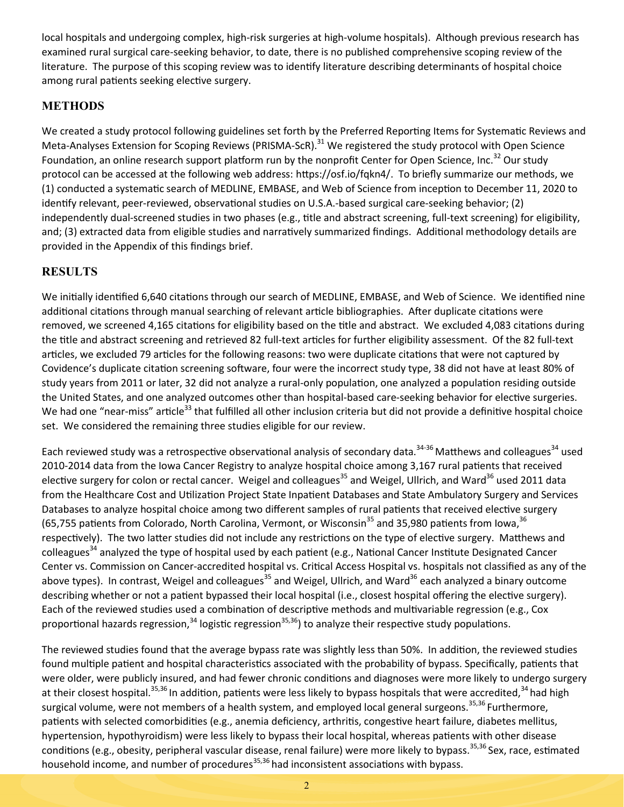local hospitals and undergoing complex, high-risk surgeries at high-volume hospitals). Although previous research has examined rural surgical care-seeking behavior, to date, there is no published comprehensive scoping review of the literature. The purpose of this scoping review was to identify literature describing determinants of hospital choice among rural patients seeking elective surgery.

## **METHODS**

We created a study protocol following guidelines set forth by the Preferred Reporting Items for Systematic Reviews and Meta-Analyses Extension for Scoping Reviews (PRISMA-ScR).<sup>31</sup> We registered the study protocol with Open Science Foundation, an online research support platform run by the nonprofit Center for Open Science, Inc.<sup>32</sup> Our study protocol can be accessed at the following web address: [https://osf.io/fqkn4/.](https://osf.io/fqkn4/) To briefly summarize our methods, we (1) conducted a systematic search of MEDLINE, EMBASE, and Web of Science from inception to December 11, 2020 to identify relevant, peer-reviewed, observational studies on U.S.A.-based surgical care-seeking behavior; (2) independently dual-screened studies in two phases (e.g., title and abstract screening, full-text screening) for eligibility, and; (3) extracted data from eligible studies and narratively summarized findings. Additional methodology details are provided in the Appendix of this findings brief.

# **RESULTS**

We initially identified 6,640 citations through our search of MEDLINE, EMBASE, and Web of Science. We identified nine additional citations through manual searching of relevant article bibliographies. After duplicate citations were removed, we screened 4,165 citations for eligibility based on the title and abstract. We excluded 4,083 citations during the title and abstract screening and retrieved 82 full-text articles for further eligibility assessment. Of the 82 full-text articles, we excluded 79 articles for the following reasons: two were duplicate citations that were not captured by Covidence's duplicate citation screening software, four were the incorrect study type, 38 did not have at least 80% of study years from 2011 or later, 32 did not analyze a rural-only population, one analyzed a population residing outside the United States, and one analyzed outcomes other than hospital-based care-seeking behavior for elective surgeries. We had one "near-miss" article<sup>33</sup> that fulfilled all other inclusion criteria but did not provide a definitive hospital choice set. We considered the remaining three studies eligible for our review.

Each reviewed study was a retrospective observational analysis of secondary data.<sup>34-36</sup> Matthews and colleagues<sup>34</sup> used 2010-2014 data from the Iowa Cancer Registry to analyze hospital choice among 3,167 rural patients that received elective surgery for colon or rectal cancer. Weigel and colleagues<sup>35</sup> and Weigel, Ullrich, and Ward<sup>36</sup> used 2011 data from the Healthcare Cost and Utilization Project State Inpatient Databases and State Ambulatory Surgery and Services Databases to analyze hospital choice among two different samples of rural patients that received elective surgery (65,755 patients from Colorado, North Carolina, Vermont, or Wisconsin<sup>35</sup> and 35,980 patients from Iowa,  $36$ respectively). The two latter studies did not include any restrictions on the type of elective surgery. Matthews and colleagues<sup>34</sup> analyzed the type of hospital used by each patient (e.g., National Cancer Institute Designated Cancer Center vs. Commission on Cancer-accredited hospital vs. Critical Access Hospital vs. hospitals not classified as any of the above types). In contrast, Weigel and colleagues<sup>35</sup> and Weigel, Ullrich, and Ward<sup>36</sup> each analyzed a binary outcome describing whether or not a patient bypassed their local hospital (i.e., closest hospital offering the elective surgery). Each of the reviewed studies used a combination of descriptive methods and multivariable regression (e.g., Cox proportional hazards regression, $34$  logistic regression $35,36$ ) to analyze their respective study populations.

The reviewed studies found that the average bypass rate was slightly less than 50%. In addition, the reviewed studies found multiple patient and hospital characteristics associated with the probability of bypass. Specifically, patients that were older, were publicly insured, and had fewer chronic conditions and diagnoses were more likely to undergo surgery at their closest hospital.<sup>35,36</sup> In addition, patients were less likely to bypass hospitals that were accredited,<sup>34</sup> had high surgical volume, were not members of a health system, and employed local general surgeons.<sup>35,36</sup> Furthermore, patients with selected comorbidities (e.g., anemia deficiency, arthritis, congestive heart failure, diabetes mellitus, hypertension, hypothyroidism) were less likely to bypass their local hospital, whereas patients with other disease conditions (e.g., obesity, peripheral vascular disease, renal failure) were more likely to bypass.<sup>35,36</sup> Sex, race, estimated household income, and number of procedures<sup>35,36</sup> had inconsistent associations with bypass.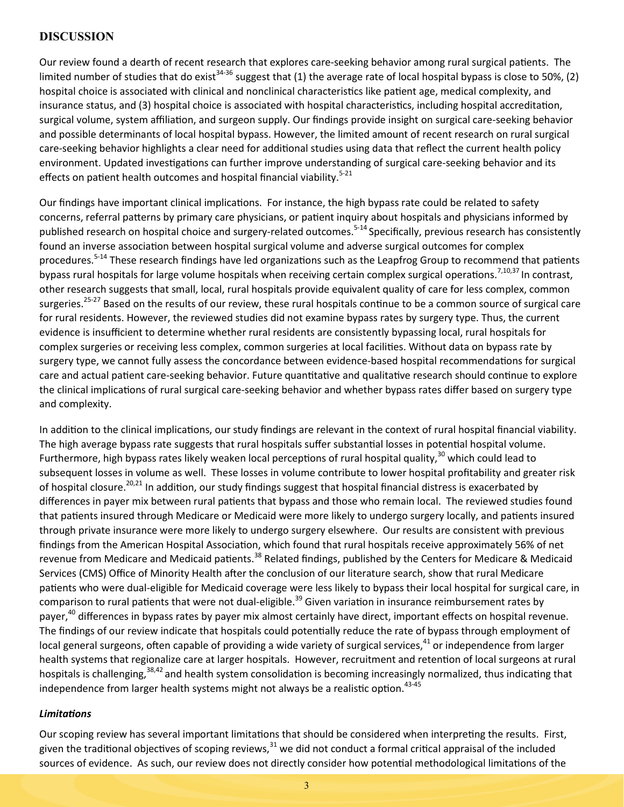### **DISCUSSION**

Our review found a dearth of recent research that explores care-seeking behavior among rural surgical patients. The limited number of studies that do exist<sup>34-36</sup> suggest that (1) the average rate of local hospital bypass is close to 50%, (2) hospital choice is associated with clinical and nonclinical characteristics like patient age, medical complexity, and insurance status, and (3) hospital choice is associated with hospital characteristics, including hospital accreditation, surgical volume, system affiliation, and surgeon supply. Our findings provide insight on surgical care-seeking behavior and possible determinants of local hospital bypass. However, the limited amount of recent research on rural surgical care-seeking behavior highlights a clear need for additional studies using data that reflect the current health policy environment. Updated investigations can further improve understanding of surgical care-seeking behavior and its effects on patient health outcomes and hospital financial viability.<sup>5-21</sup>

Our findings have important clinical implications. For instance, the high bypass rate could be related to safety concerns, referral patterns by primary care physicians, or patient inquiry about hospitals and physicians informed by published research on hospital choice and surgery-related outcomes.<sup>5-14</sup> Specifically, previous research has consistently found an inverse association between hospital surgical volume and adverse surgical outcomes for complex procedures.<sup>5-14</sup> These research findings have led organizations such as the Leapfrog Group to recommend that patients bypass rural hospitals for large volume hospitals when receiving certain complex surgical operations.<sup>7,10,37</sup> In contrast, other research suggests that small, local, rural hospitals provide equivalent quality of care for less complex, common surgeries.<sup>25-27</sup> Based on the results of our review, these rural hospitals continue to be a common source of surgical care for rural residents. However, the reviewed studies did not examine bypass rates by surgery type. Thus, the current evidence is insufficient to determine whether rural residents are consistently bypassing local, rural hospitals for complex surgeries or receiving less complex, common surgeries at local facilities. Without data on bypass rate by surgery type, we cannot fully assess the concordance between evidence-based hospital recommendations for surgical care and actual patient care-seeking behavior. Future quantitative and qualitative research should continue to explore the clinical implications of rural surgical care-seeking behavior and whether bypass rates differ based on surgery type and complexity.

In addition to the clinical implications, our study findings are relevant in the context of rural hospital financial viability. The high average bypass rate suggests that rural hospitals suffer substantial losses in potential hospital volume. Furthermore, high bypass rates likely weaken local perceptions of rural hospital quality,<sup>30</sup> which could lead to subsequent losses in volume as well. These losses in volume contribute to lower hospital profitability and greater risk of hospital closure.<sup>20,21</sup> In addition, our study findings suggest that hospital financial distress is exacerbated by differences in payer mix between rural patients that bypass and those who remain local. The reviewed studies found that patients insured through Medicare or Medicaid were more likely to undergo surgery locally, and patients insured through private insurance were more likely to undergo surgery elsewhere. Our results are consistent with previous findings from the American Hospital Association, which found that rural hospitals receive approximately 56% of net revenue from Medicare and Medicaid patients.<sup>38</sup> Related findings, published by the Centers for Medicare & Medicaid Services (CMS) Office of Minority Health after the conclusion of our literature search, show that rural Medicare patients who were dual-eligible for Medicaid coverage were less likely to bypass their local hospital for surgical care, in comparison to rural patients that were not dual-eligible.<sup>39</sup> Given variation in insurance reimbursement rates by payer,<sup>40</sup> differences in bypass rates by payer mix almost certainly have direct, important effects on hospital revenue. The findings of our review indicate that hospitals could potentially reduce the rate of bypass through employment of local general surgeons, often capable of providing a wide variety of surgical services, $^{41}$  or independence from larger health systems that regionalize care at larger hospitals. However, recruitment and retention of local surgeons at rural hospitals is challenging,<sup>38,42</sup> and health system consolidation is becoming increasingly normalized, thus indicating that independence from larger health systems might not always be a realistic option.  $43-45$ 

#### *Limitations*

Our scoping review has several important limitations that should be considered when interpreting the results. First, given the traditional objectives of scoping reviews, $31$  we did not conduct a formal critical appraisal of the included sources of evidence. As such, our review does not directly consider how potential methodological limitations of the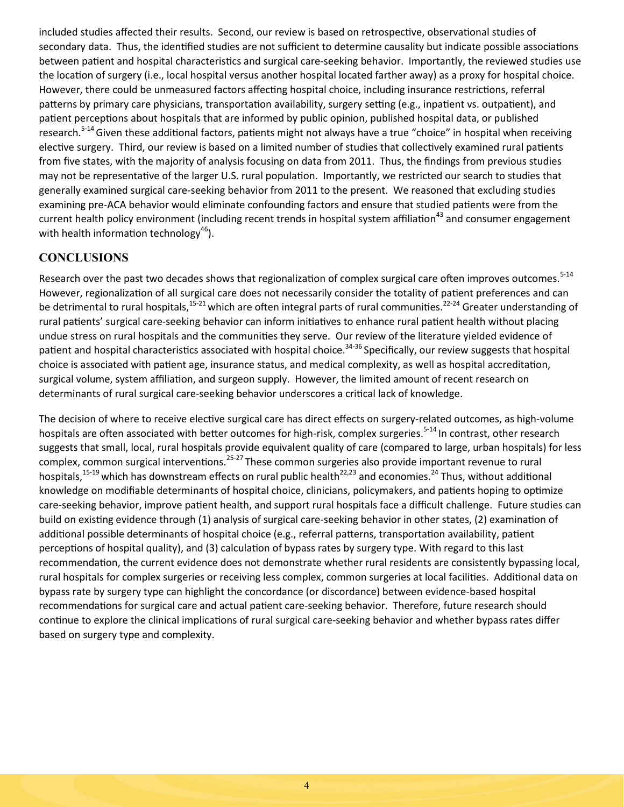included studies affected their results. Second, our review is based on retrospective, observational studies of secondary data. Thus, the identified studies are not sufficient to determine causality but indicate possible associations between patient and hospital characteristics and surgical care-seeking behavior. Importantly, the reviewed studies use the location of surgery (i.e., local hospital versus another hospital located farther away) as a proxy for hospital choice. However, there could be unmeasured factors affecting hospital choice, including insurance restrictions, referral patterns by primary care physicians, transportation availability, surgery setting (e.g., inpatient vs. outpatient), and patient perceptions about hospitals that are informed by public opinion, published hospital data, or published research.<sup>5-14</sup> Given these additional factors, patients might not always have a true "choice" in hospital when receiving elective surgery. Third, our review is based on a limited number of studies that collectively examined rural patients from five states, with the majority of analysis focusing on data from 2011. Thus, the findings from previous studies may not be representative of the larger U.S. rural population. Importantly, we restricted our search to studies that generally examined surgical care-seeking behavior from 2011 to the present. We reasoned that excluding studies examining pre-ACA behavior would eliminate confounding factors and ensure that studied patients were from the current health policy environment (including recent trends in hospital system affiliation<sup>43</sup> and consumer engagement with health information technology<sup>46</sup>).

## **CONCLUSIONS**

Research over the past two decades shows that regionalization of complex surgical care often improves outcomes.<sup>5-14</sup> However, regionalization of all surgical care does not necessarily consider the totality of patient preferences and can be detrimental to rural hospitals,<sup>15-21</sup> which are often integral parts of rural communities.<sup>22-24</sup> Greater understanding of rural patients' surgical care-seeking behavior can inform initiatives to enhance rural patient health without placing undue stress on rural hospitals and the communities they serve. Our review of the literature yielded evidence of patient and hospital characteristics associated with hospital choice.<sup>34-36</sup> Specifically, our review suggests that hospital choice is associated with patient age, insurance status, and medical complexity, as well as hospital accreditation, surgical volume, system affiliation, and surgeon supply. However, the limited amount of recent research on determinants of rural surgical care-seeking behavior underscores a critical lack of knowledge.

The decision of where to receive elective surgical care has direct effects on surgery-related outcomes, as high-volume hospitals are often associated with better outcomes for high-risk, complex surgeries.<sup>5-14</sup> In contrast, other research suggests that small, local, rural hospitals provide equivalent quality of care (compared to large, urban hospitals) for less complex, common surgical interventions.<sup>25-27</sup>These common surgeries also provide important revenue to rural hospitals,<sup>15-19</sup> which has downstream effects on rural public health<sup>22,23</sup> and economies.<sup>24</sup> Thus, without additional knowledge on modifiable determinants of hospital choice, clinicians, policymakers, and patients hoping to optimize care-seeking behavior, improve patient health, and support rural hospitals face a difficult challenge. Future studies can build on existing evidence through (1) analysis of surgical care-seeking behavior in other states, (2) examination of additional possible determinants of hospital choice (e.g., referral patterns, transportation availability, patient perceptions of hospital quality), and (3) calculation of bypass rates by surgery type. With regard to this last recommendation, the current evidence does not demonstrate whether rural residents are consistently bypassing local, rural hospitals for complex surgeries or receiving less complex, common surgeries at local facilities. Additional data on bypass rate by surgery type can highlight the concordance (or discordance) between evidence-based hospital recommendations for surgical care and actual patient care-seeking behavior. Therefore, future research should continue to explore the clinical implications of rural surgical care-seeking behavior and whether bypass rates differ based on surgery type and complexity.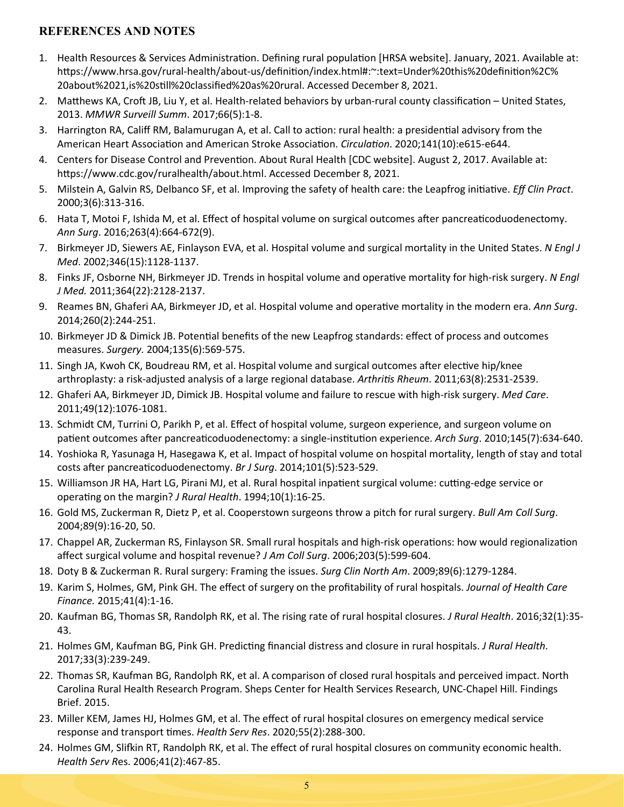### **REFERENCES AND NOTES**

- 1. Health Resources & Services Administration. Defining rural population [HRSA website]. January, 2021. Available at: https://www.hrsa.gov/rural-health/about-[us/definition/index.html#:~:text=Under%20this%20definition%2C%](https://www.hrsa.gov/rural-health/about-us/definition/index.html#:~:text=Under%20this%20definition%2C%20about%2021,is%20still%20classified%20as%20rural) [20about%2021,is%20still%20classified%20as%20rural.](https://www.hrsa.gov/rural-health/about-us/definition/index.html#:~:text=Under%20this%20definition%2C%20about%2021,is%20still%20classified%20as%20rural) Accessed December 8, 2021.
- 2. Matthews KA, Croft JB, Liu Y, et al. Health-related behaviors by urban-rural county classification United States, 2013. *MMWR Surveill Summ*. 2017;66(5):1-8.
- 3. Harrington RA, Califf RM, Balamurugan A, et al. Call to action: rural health: a presidential advisory from the American Heart Association and American Stroke Association. *Circulation*. 2020;141(10):e615-e644.
- 4. Centers for Disease Control and Prevention. About Rural Health [CDC website]. August 2, 2017. Available at: [https://www.cdc.gov/ruralhealth/about.html.](https://www.cdc.gov/ruralhealth/about.html) Accessed December 8, 2021.
- 5. Milstein A, Galvin RS, Delbanco SF, et al. Improving the safety of health care: the Leapfrog initiative. *Eff Clin Pract*. 2000;3(6):313-316.
- 6. Hata T, Motoi F, Ishida M, et al. Effect of hospital volume on surgical outcomes after pancreaticoduodenectomy. *Ann Surg*. 2016;263(4):664-672(9).
- 7. Birkmeyer JD, Siewers AE, Finlayson EVA, et al. Hospital volume and surgical mortality in the United States. *N Engl J Med*. 2002;346(15):1128-1137.
- 8. Finks JF, Osborne NH, Birkmeyer JD. Trends in hospital volume and operative mortality for high-risk surgery. *N Engl J Med.* 2011;364(22):2128-2137.
- 9. Reames BN, Ghaferi AA, Birkmeyer JD, et al. Hospital volume and operative mortality in the modern era. *Ann Surg*. 2014;260(2):244-251.
- 10. Birkmeyer JD & Dimick JB. Potential benefits of the new Leapfrog standards: effect of process and outcomes measures. *Surgery.* 2004;135(6):569-575.
- 11. Singh JA, Kwoh CK, Boudreau RM, et al. Hospital volume and surgical outcomes after elective hip/knee arthroplasty: a risk-adjusted analysis of a large regional database. *Arthritis Rheum*. 2011;63(8):2531-2539.
- 12. Ghaferi AA, Birkmeyer JD, Dimick JB. Hospital volume and failure to rescue with high-risk surgery. *Med Care*. 2011;49(12):1076-1081.
- 13. Schmidt CM, Turrini O, Parikh P, et al. Effect of hospital volume, surgeon experience, and surgeon volume on patient outcomes after pancreaticoduodenectomy: a single-institution experience. *Arch Surg*. 2010;145(7):634-640.
- 14. Yoshioka R, Yasunaga H, Hasegawa K, et al. Impact of hospital volume on hospital mortality, length of stay and total costs after pancreaticoduodenectomy. *Br J Surg*. 2014;101(5):523-529.
- 15. Williamson JR HA, Hart LG, Pirani MJ, et al. Rural hospital inpatient surgical volume: cutting-edge service or operating on the margin? *J Rural Health*. 1994;10(1):16-25.
- 16. Gold MS, Zuckerman R, Dietz P, et al. Cooperstown surgeons throw a pitch for rural surgery. *Bull Am Coll Surg*. 2004;89(9):16-20, 50.
- 17. Chappel AR, Zuckerman RS, Finlayson SR. Small rural hospitals and high-risk operations: how would regionalization affect surgical volume and hospital revenue? *J Am Coll Surg*. 2006;203(5):599-604.
- 18. Doty B & Zuckerman R. Rural surgery: Framing the issues. *Surg Clin North Am*. 2009;89(6):1279-1284.
- 19. Karim S, Holmes, GM, Pink GH. The effect of surgery on the profitability of rural hospitals. *Journal of Health Care Finance.* 2015;41(4):1-16.
- 20. Kaufman BG, Thomas SR, Randolph RK, et al. The rising rate of rural hospital closures. *J Rural Health*. 2016;32(1):35- 43.
- 21. Holmes GM, Kaufman BG, Pink GH. Predicting financial distress and closure in rural hospitals. *J Rural Health*. 2017;33(3):239-249.
- 22. Thomas SR, Kaufman BG, Randolph RK, et al. A comparison of closed rural hospitals and perceived impact. North Carolina Rural Health Research Program. Sheps Center for Health Services Research, UNC-Chapel Hill. Findings Brief. 2015.
- 23. Miller KEM, James HJ, Holmes GM, et al. The effect of rural hospital closures on emergency medical service response and transport times. *Health Serv Res*. 2020;55(2):288-300.
- 24. Holmes GM, Slifkin RT, Randolph RK, et al. The effect of rural hospital closures on community economic health. *Health Serv R*es. 2006;41(2):467-85.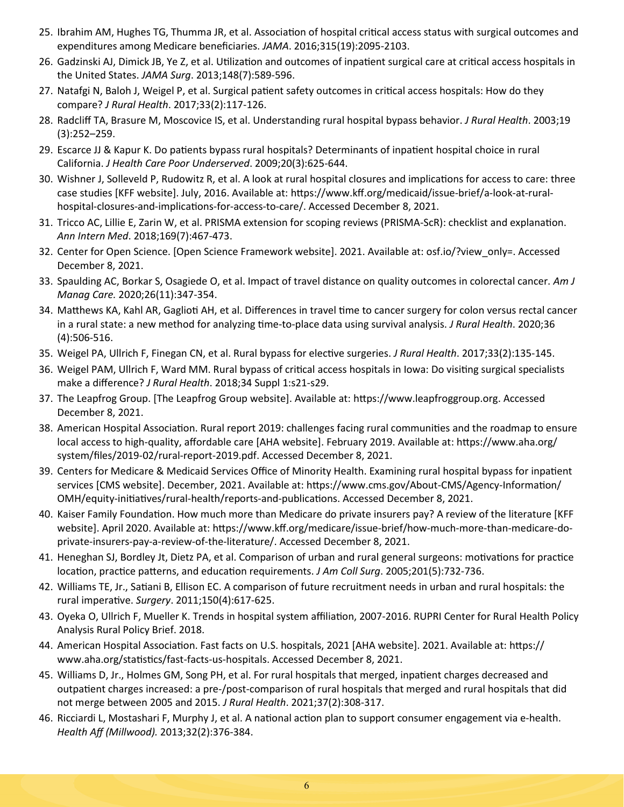- 25. Ibrahim AM, Hughes TG, Thumma JR, et al. Association of hospital critical access status with surgical outcomes and expenditures among Medicare beneficiaries. *JAMA*. 2016;315(19):2095-2103.
- 26. Gadzinski AJ, Dimick JB, Ye Z, et al. Utilization and outcomes of inpatient surgical care at critical access hospitals in the United States. *JAMA Surg*. 2013;148(7):589-596.
- 27. Natafgi N, Baloh J, Weigel P, et al. Surgical patient safety outcomes in critical access hospitals: How do they compare? *J Rural Health*. 2017;33(2):117-126.
- 28. Radcliff TA, Brasure M, Moscovice IS, et al. Understanding rural hospital bypass behavior. *J Rural Health*. 2003;19 (3):252–259.
- 29. Escarce JJ & Kapur K. Do patients bypass rural hospitals? Determinants of inpatient hospital choice in rural California. *J Health Care Poor Underserved*. 2009;20(3):625-644.
- 30. Wishner J, Solleveld P, Rudowitz R, et al. A look at rural hospital closures and implications for access to care: three case studies [KFF website]. July, 2016. Available at: [https://www.kff.org/medicaid/issue](https://www.kff.org/medicaid/issue-brief/a-look-at-rural-hospital-closures-and-implications-for-access-to-care/)-brief/a-look-at-ruralhospital-closures-and-[implications](https://www.kff.org/medicaid/issue-brief/a-look-at-rural-hospital-closures-and-implications-for-access-to-care/)-for-access-to-care/. Accessed December 8, 2021.
- 31. Tricco AC, Lillie E, Zarin W, et al. PRISMA extension for scoping reviews (PRISMA-ScR): checklist and explanation. *Ann Intern Med*. 2018;169(7):467-473.
- 32. Center for Open Science. [Open Science Framework website]. 2021. Available at: [osf.io/?view\\_only=.](https://osf.io/?view_only=) Accessed December 8, 2021.
- 33. Spaulding AC, Borkar S, Osagiede O, et al. Impact of travel distance on quality outcomes in colorectal cancer. *Am J Manag Care.* 2020;26(11):347-354.
- 34. Matthews KA, Kahl AR, Gaglioti AH, et al. Differences in travel time to cancer surgery for colon versus rectal cancer in a rural state: a new method for analyzing time-to-place data using survival analysis. *J Rural Health*. 2020;36 (4):506-516.
- 35. Weigel PA, Ullrich F, Finegan CN, et al. Rural bypass for elective surgeries. *J Rural Health*. 2017;33(2):135-145.
- 36. Weigel PAM, Ullrich F, Ward MM. Rural bypass of critical access hospitals in Iowa: Do visiting surgical specialists make a difference? *J Rural Health*. 2018;34 Suppl 1:s21-s29.
- 37. The Leapfrog Group. [The Leapfrog Group website]. Available at: [https://www.leapfroggroup.org.](https://www.leapfroggroup.org) Accessed December 8, 2021.
- 38. American Hospital Association. Rural report 2019: challenges facing rural communities and the roadmap to ensure local access to high-quality, affordable care [AHA website]. February 2019. Available at: [https://www.aha.org/](https://www.aha.org/system/files/2019-02/rural-report-2019.pdf) [system/files/2019](https://www.aha.org/system/files/2019-02/rural-report-2019.pdf)-02/rural-report-2019.pdf. Accessed December 8, 2021.
- 39. Centers for Medicare & Medicaid Services Office of Minority Health. Examining rural hospital bypass for inpatient services [CMS website]. December, 2021. Available at: [https://www.cms.gov/About](https://www.cms.gov/About-CMS/Agency-Information/OMH/equity-initiatives/rural-health/reports-and-publications)-CMS/Agency-Information/ OMH/equity-[initiatives/rural](https://www.cms.gov/About-CMS/Agency-Information/OMH/equity-initiatives/rural-health/reports-and-publications)-health/reports-and-publications. Accessed December 8, 2021.
- 40. Kaiser Family Foundation. How much more than Medicare do private insurers pay? A review of the literature [KFF website]. April 2020. Available at: [https://www.kff.org/medicare/issue](https://www.kff.org/medicare/issue-brief/how-much-more-than-medicare-do-private-insurers-pay-a-review-of-the-literature/)-brief/how-much-more-than-medicare-doprivate-insurers-pay-a-review-of-the-[literature/.](https://www.kff.org/medicare/issue-brief/how-much-more-than-medicare-do-private-insurers-pay-a-review-of-the-literature/) Accessed December 8, 2021.
- 41. Heneghan SJ, Bordley Jt, Dietz PA, et al. Comparison of urban and rural general surgeons: motivations for practice location, practice patterns, and education requirements. *J Am Coll Surg*. 2005;201(5):732-736.
- 42. Williams TE, Jr., Satiani B, Ellison EC. A comparison of future recruitment needs in urban and rural hospitals: the rural imperative. *Surgery*. 2011;150(4):617-625.
- 43. Oyeka O, Ullrich F, Mueller K. Trends in hospital system affiliation, 2007-2016. RUPRI Center for Rural Health Policy Analysis Rural Policy Brief. 2018.
- 44. American Hospital Association. Fast facts on U.S. hospitals, 2021 [AHA website]. 2021. Available at: [https://](https://www.aha.org/statistics/fast-facts-us-hospitals) [www.aha.org/statistics/fast](https://www.aha.org/statistics/fast-facts-us-hospitals)-facts-us-hospitals. Accessed December 8, 2021.
- 45. Williams D, Jr., Holmes GM, Song PH, et al. For rural hospitals that merged, inpatient charges decreased and outpatient charges increased: a pre-/post-comparison of rural hospitals that merged and rural hospitals that did not merge between 2005 and 2015. *J Rural Health*. 2021;37(2):308-317.
- 46. Ricciardi L, Mostashari F, Murphy J, et al. A national action plan to support consumer engagement via e-health. *Health Aff (Millwood).* 2013;32(2):376-384.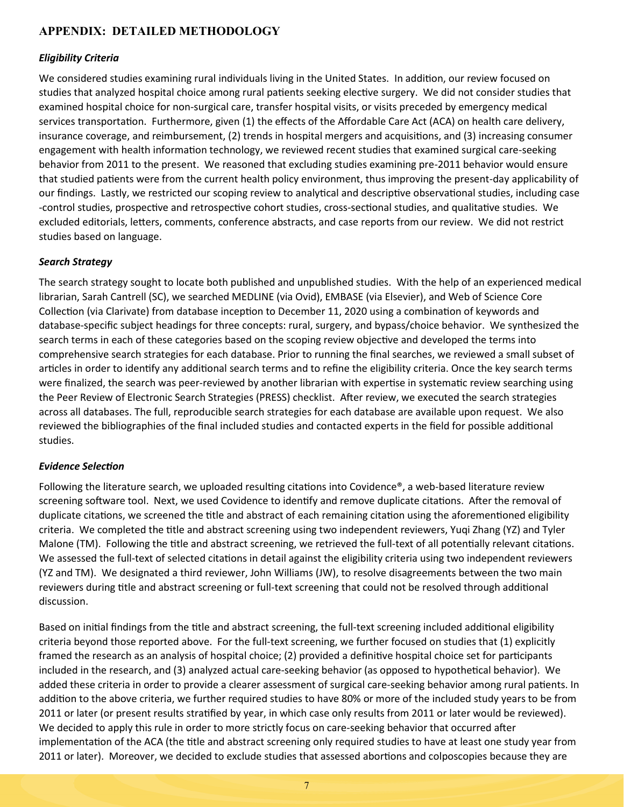## **APPENDIX: DETAILED METHODOLOGY**

#### *Eligibility Criteria*

We considered studies examining rural individuals living in the United States. In addition, our review focused on studies that analyzed hospital choice among rural patients seeking elective surgery. We did not consider studies that examined hospital choice for non-surgical care, transfer hospital visits, or visits preceded by emergency medical services transportation. Furthermore, given (1) the effects of the Affordable Care Act (ACA) on health care delivery, insurance coverage, and reimbursement, (2) trends in hospital mergers and acquisitions, and (3) increasing consumer engagement with health information technology, we reviewed recent studies that examined surgical care-seeking behavior from 2011 to the present. We reasoned that excluding studies examining pre-2011 behavior would ensure that studied patients were from the current health policy environment, thus improving the present-day applicability of our findings. Lastly, we restricted our scoping review to analytical and descriptive observational studies, including case -control studies, prospective and retrospective cohort studies, cross-sectional studies, and qualitative studies. We excluded editorials, letters, comments, conference abstracts, and case reports from our review. We did not restrict studies based on language.

#### *Search Strategy*

The search strategy sought to locate both published and unpublished studies. With the help of an experienced medical librarian, Sarah Cantrell (SC), we searched MEDLINE (via Ovid), EMBASE (via Elsevier), and Web of Science Core Collection (via Clarivate) from database inception to December 11, 2020 using a combination of keywords and database-specific subject headings for three concepts: rural, surgery, and bypass/choice behavior. We synthesized the search terms in each of these categories based on the scoping review objective and developed the terms into comprehensive search strategies for each database. Prior to running the final searches, we reviewed a small subset of articles in order to identify any additional search terms and to refine the eligibility criteria. Once the key search terms were finalized, the search was peer-reviewed by another librarian with expertise in systematic review searching using the Peer Review of Electronic Search Strategies (PRESS) checklist. After review, we executed the search strategies across all databases. The full, reproducible search strategies for each database are available upon request. We also reviewed the bibliographies of the final included studies and contacted experts in the field for possible additional studies.

#### *Evidence Selection*

Following the literature search, we uploaded resulting citations into Covidence®, a web-based literature review screening software tool. Next, we used Covidence to identify and remove duplicate citations. After the removal of duplicate citations, we screened the title and abstract of each remaining citation using the aforementioned eligibility criteria. We completed the title and abstract screening using two independent reviewers, Yuqi Zhang (YZ) and Tyler Malone (TM). Following the title and abstract screening, we retrieved the full-text of all potentially relevant citations. We assessed the full-text of selected citations in detail against the eligibility criteria using two independent reviewers (YZ and TM). We designated a third reviewer, John Williams (JW), to resolve disagreements between the two main reviewers during title and abstract screening or full-text screening that could not be resolved through additional discussion.

Based on initial findings from the title and abstract screening, the full-text screening included additional eligibility criteria beyond those reported above. For the full-text screening, we further focused on studies that (1) explicitly framed the research as an analysis of hospital choice; (2) provided a definitive hospital choice set for participants included in the research, and (3) analyzed actual care-seeking behavior (as opposed to hypothetical behavior). We added these criteria in order to provide a clearer assessment of surgical care-seeking behavior among rural patients. In addition to the above criteria, we further required studies to have 80% or more of the included study years to be from 2011 or later (or present results stratified by year, in which case only results from 2011 or later would be reviewed). We decided to apply this rule in order to more strictly focus on care-seeking behavior that occurred after implementation of the ACA (the title and abstract screening only required studies to have at least one study year from 2011 or later). Moreover, we decided to exclude studies that assessed abortions and colposcopies because they are